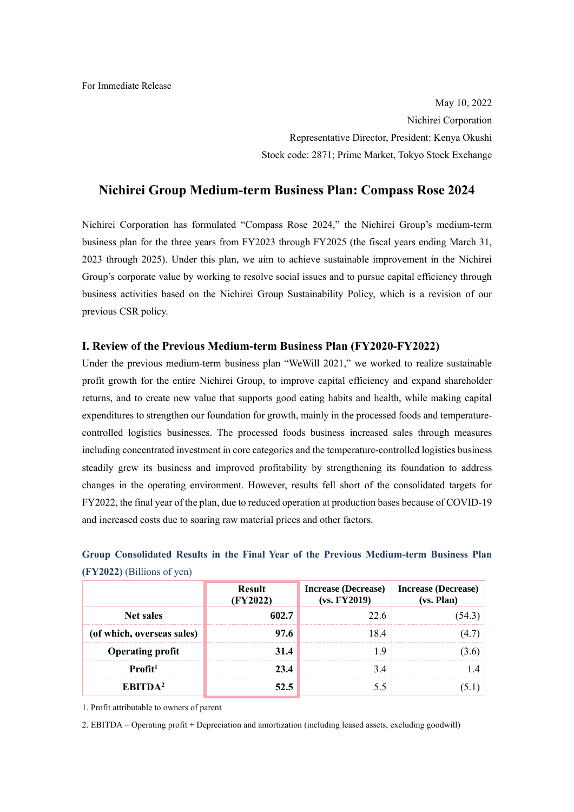May 10, 2022 Nichirei Corporation Representative Director, President: Kenya Okushi Stock code: 2871; Prime Market, Tokyo Stock Exchange

### **Nichirei Group Medium-term Business Plan: Compass Rose 2024**

Nichirei Corporation has formulated "Compass Rose 2024," the Nichirei Group's medium-term business plan for the three years from FY2023 through FY2025 (the fiscal years ending March 31, 2023 through 2025). Under this plan, we aim to achieve sustainable improvement in the Nichirei Group's corporate value by working to resolve social issues and to pursue capital efficiency through business activities based on the Nichirei Group Sustainability Policy, which is a revision of our previous CSR policy.

#### **I. Review of the Previous Medium-term Business Plan (FY2020-FY2022)**

Under the previous medium-term business plan "WeWill 2021," we worked to realize sustainable profit growth for the entire Nichirei Group, to improve capital efficiency and expand shareholder returns, and to create new value that supports good eating habits and health, while making capital expenditures to strengthen our foundation for growth, mainly in the processed foods and temperaturecontrolled logistics businesses. The processed foods business increased sales through measures including concentrated investment in core categories and the temperature-controlled logistics business steadily grew its business and improved profitability by strengthening its foundation to address changes in the operating environment. However, results fell short of the consolidated targets for FY2022, the final year of the plan, due to reduced operation at production bases because of COVID-19 and increased costs due to soaring raw material prices and other factors.

|                              |  |  |  |  | Group Consolidated Results in the Final Year of the Previous Medium-term Business Plan |  |
|------------------------------|--|--|--|--|----------------------------------------------------------------------------------------|--|
| $(FY2022)$ (Billions of yen) |  |  |  |  |                                                                                        |  |

|                            | <b>Result</b><br>(FY2022) | Increase (Decrease)<br>(vs. FY2019) | <b>Increase (Decrease)</b><br>(vs. Plan) |
|----------------------------|---------------------------|-------------------------------------|------------------------------------------|
| <b>Net sales</b>           | 602.7                     | 22.6                                | 54.3                                     |
| (of which, overseas sales) | 97.6                      | 18.4                                |                                          |
| <b>Operating profit</b>    | 31.4                      | -9                                  | 3.6                                      |
| $Profit1$                  | 23.4                      | 34                                  |                                          |
| EBITDA <sup>2</sup>        | 52.5                      |                                     |                                          |

1. Profit attributable to owners of parent

2. EBITDA = Operating profit + Depreciation and amortization (including leased assets, excluding goodwill)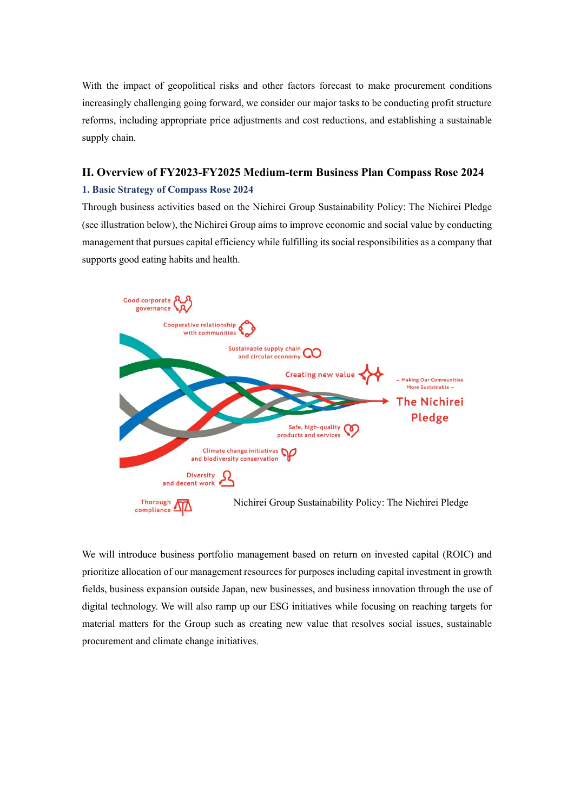With the impact of geopolitical risks and other factors forecast to make procurement conditions increasingly challenging going forward, we consider our major tasks to be conducting profit structure reforms, including appropriate price adjustments and cost reductions, and establishing a sustainable supply chain.

# **II. Overview of FY2023-FY2025 Medium-term Business Plan Compass Rose 2024**

#### **1. Basic Strategy of Compass Rose 2024**

Through business activities based on the Nichirei Group Sustainability Policy: The Nichirei Pledge (see illustration below), the Nichirei Group aims to improve economic and social value by conducting management that pursues capital efficiency while fulfilling its social responsibilities as a company that supports good eating habits and health.



We will introduce business portfolio management based on return on invested capital (ROIC) and prioritize allocation of our management resources for purposes including capital investment in growth fields, business expansion outside Japan, new businesses, and business innovation through the use of digital technology. We will also ramp up our ESG initiatives while focusing on reaching targets for material matters for the Group such as creating new value that resolves social issues, sustainable procurement and climate change initiatives.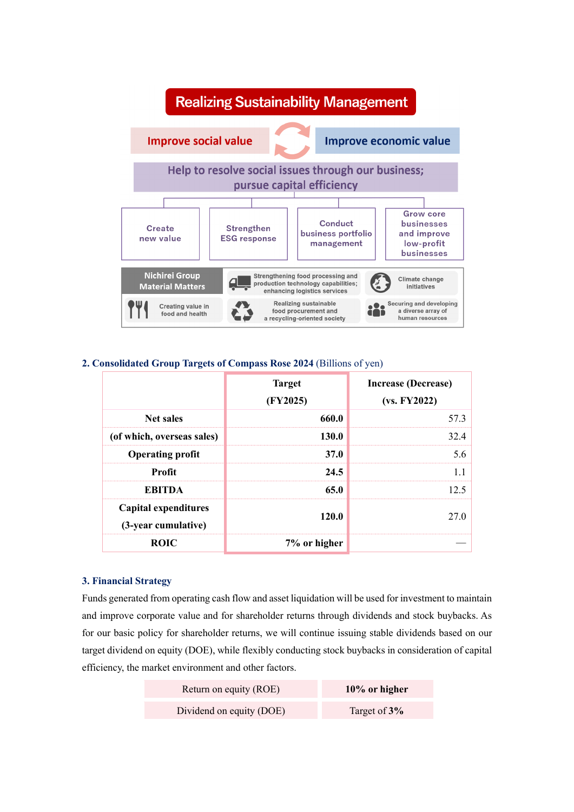

#### **2. Consolidated Group Targets of Compass Rose 2024** (Billions of yen)

|                                             | <b>Target</b><br>(FY2025) | <b>Increase (Decrease)</b><br>(vs. FY2022) |
|---------------------------------------------|---------------------------|--------------------------------------------|
| <b>Net sales</b>                            | 660.0                     | 57.3                                       |
| (of which, overseas sales)                  | 130.0                     | 32.4                                       |
| <b>Operating profit</b>                     | <b>37.0</b>               | 5.6                                        |
| Profit                                      | 24.5                      | 1.1                                        |
| <b>EBITDA</b>                               | 65.0                      | 12.5                                       |
| Capital expenditures<br>(3-year cumulative) | 120.0                     | 27.0                                       |
| <b>ROIC</b>                                 | 7% or higher              |                                            |

#### **3. Financial Strategy**

Funds generated from operating cash flow and asset liquidation will be used for investment to maintain and improve corporate value and for shareholder returns through dividends and stock buybacks. As for our basic policy for shareholder returns, we will continue issuing stable dividends based on our target dividend on equity (DOE), while flexibly conducting stock buybacks in consideration of capital efficiency, the market environment and other factors.

| Return on equity (ROE)   | $10\%$ or higher |
|--------------------------|------------------|
| Dividend on equity (DOE) | Target of 3%     |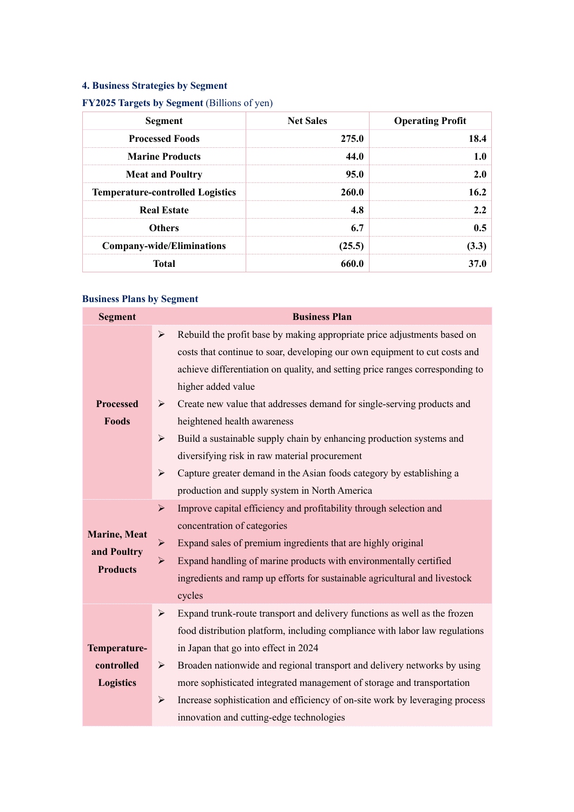# **4. Business Strategies by Segment**

# **FY2025 Targets by Segment** (Billions of yen)

| <b>Segment</b>                          | <b>Net Sales</b> | <b>Operating Profit</b> |
|-----------------------------------------|------------------|-------------------------|
| <b>Processed Foods</b>                  | 275.0            | 18.4                    |
| <b>Marine Products</b>                  | 44.0             | 1.0                     |
| <b>Meat and Poultry</b>                 | 95.0             | 2.0                     |
| <b>Temperature-controlled Logistics</b> | <b>260.0</b>     | 16.2                    |
| <b>Real Estate</b>                      | 4.8              | 2.2                     |
| <b>Others</b>                           | 6.7              | 0.5                     |
| <b>Company-wide/Eliminations</b>        | (25.5)           | (3.3)                   |
| <b>Total</b>                            | 660.0            | 37.0                    |

### **Business Plans by Segment**

| <b>Segment</b>                                         | <b>Business Plan</b>                                                                                                                                                                                                                                                                                                                                                                                                                                                                                                                                                                                                                                                                                                                                                                                                                                       |  |  |  |  |  |
|--------------------------------------------------------|------------------------------------------------------------------------------------------------------------------------------------------------------------------------------------------------------------------------------------------------------------------------------------------------------------------------------------------------------------------------------------------------------------------------------------------------------------------------------------------------------------------------------------------------------------------------------------------------------------------------------------------------------------------------------------------------------------------------------------------------------------------------------------------------------------------------------------------------------------|--|--|--|--|--|
| <b>Processed</b><br><b>Foods</b>                       | Rebuild the profit base by making appropriate price adjustments based on<br>$\blacktriangleright$<br>costs that continue to soar, developing our own equipment to cut costs and<br>achieve differentiation on quality, and setting price ranges corresponding to<br>higher added value<br>Create new value that addresses demand for single-serving products and<br>$\blacktriangleright$<br>heightened health awareness<br>Build a sustainable supply chain by enhancing production systems and<br>$\blacktriangleright$<br>diversifying risk in raw material procurement<br>Capture greater demand in the Asian foods category by establishing a<br>$\blacktriangleright$<br>production and supply system in North America<br>Improve capital efficiency and profitability through selection and<br>$\blacktriangleright$<br>concentration of categories |  |  |  |  |  |
| <b>Marine</b> , Meat<br>and Poultry<br><b>Products</b> | Expand sales of premium ingredients that are highly original<br>$\blacktriangleright$<br>Expand handling of marine products with environmentally certified<br>$\blacktriangleright$<br>ingredients and ramp up efforts for sustainable agricultural and livestock<br>cycles                                                                                                                                                                                                                                                                                                                                                                                                                                                                                                                                                                                |  |  |  |  |  |
| Temperature-<br>controlled<br><b>Logistics</b>         | Expand trunk-route transport and delivery functions as well as the frozen<br>$\blacktriangleright$<br>food distribution platform, including compliance with labor law regulations<br>in Japan that go into effect in 2024<br>Broaden nationwide and regional transport and delivery networks by using<br>➤<br>more sophisticated integrated management of storage and transportation<br>Increase sophistication and efficiency of on-site work by leveraging process<br>$\blacktriangleright$<br>innovation and cutting-edge technologies                                                                                                                                                                                                                                                                                                                  |  |  |  |  |  |